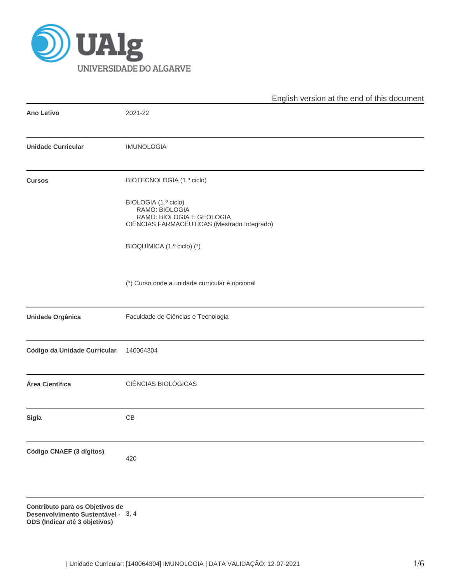

|                                 | English version at the end of this document                                                                        |
|---------------------------------|--------------------------------------------------------------------------------------------------------------------|
| <b>Ano Letivo</b>               | 2021-22                                                                                                            |
| <b>Unidade Curricular</b>       | <b>IMUNOLOGIA</b>                                                                                                  |
| <b>Cursos</b>                   | BIOTECNOLOGIA (1.º ciclo)                                                                                          |
|                                 | BIOLOGIA (1.º ciclo)<br>RAMO: BIOLOGIA<br>RAMO: BIOLOGIA E GEOLOGIA<br>CIÊNCIAS FARMACÊUTICAS (Mestrado Integrado) |
|                                 | BIOQUÍMICA (1.º ciclo) (*)                                                                                         |
|                                 | (*) Curso onde a unidade curricular é opcional                                                                     |
| <b>Unidade Orgânica</b>         | Faculdade de Ciências e Tecnologia                                                                                 |
| Código da Unidade Curricular    | 140064304                                                                                                          |
| Área Científica                 | CIÊNCIAS BIOLÓGICAS                                                                                                |
| <b>Sigla</b>                    | CB                                                                                                                 |
| Código CNAEF (3 dígitos)        | 420                                                                                                                |
| Contributo para os Objetivos de |                                                                                                                    |

**Desenvolvimento Sustentável -** 3, 4**ODS (Indicar até 3 objetivos)**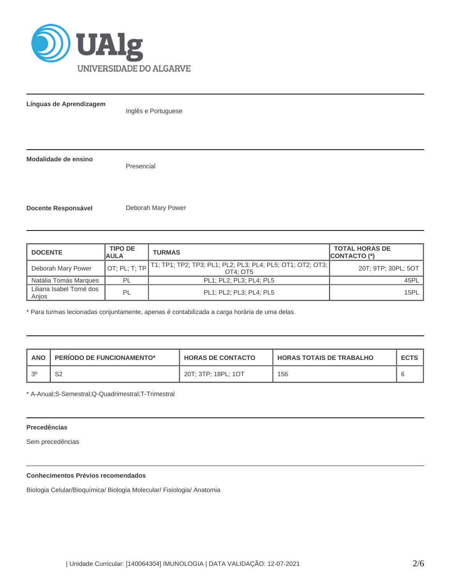

**Línguas de Aprendizagem**

Inglês e Portuguese

**Modalidade de ensino**

Presencial

**Docente Responsável Deborah Mary Power** 

| <b>DOCENTE</b>                   | <b>TIPO DE</b><br><b>AULA</b> | <b>TURMAS</b>                                                                        | <b>TOTAL HORAS DE</b><br><b>CONTACTO (*)</b> |
|----------------------------------|-------------------------------|--------------------------------------------------------------------------------------|----------------------------------------------|
| Deborah Mary Power               |                               | OT; PL; T; TP T1; TP1; TP2; TP3; PL1; PL2; PL3; PL4; PL5; OT1; OT2; OT3;<br>OT4: OT5 | 20T; 9TP; 30PL; 5OT                          |
| Natália Tomás Marques            | PI                            | PL1; PL2; PL3; PL4; PL5                                                              | 45PL                                         |
| Liliana Isabel Tomé dos<br>Anjos | PL                            | PL1; PL2; PL3; PL4; PL5                                                              | 15PL                                         |

\* Para turmas lecionadas conjuntamente, apenas é contabilizada a carga horária de uma delas.

| ANO  | <b>PERIODO DE FUNCIONAMENTO*</b> | <b>HORAS DE CONTACTO</b> | <b>HORAS TOTAIS DE TRABALHO</b> | <b>ECTS</b> |
|------|----------------------------------|--------------------------|---------------------------------|-------------|
| ା 20 | ດຕ<br>ےب                         | 20T: 3TP: 18PL: 1OT      | 156                             |             |

\* A-Anual;S-Semestral;Q-Quadrimestral;T-Trimestral

# **Precedências**

Sem precedências

# **Conhecimentos Prévios recomendados**

Biologia Celular/Bioquímica/ Biologia Molecular/ Fisiologia/ Anatomia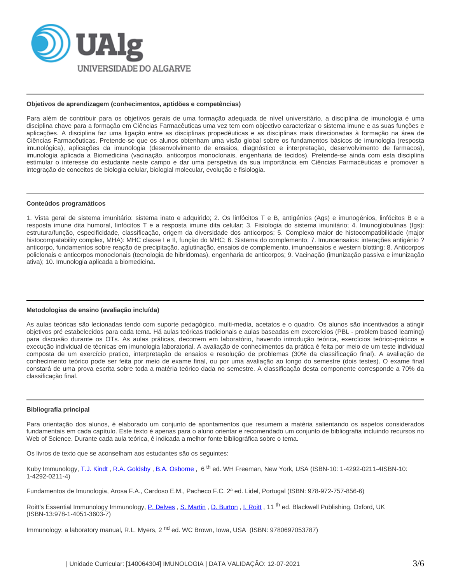

### **Objetivos de aprendizagem (conhecimentos, aptidões e competências)**

Para além de contribuir para os objetivos gerais de uma formação adequada de nível universitário, a disciplina de imunologia é uma disciplina chave para a formação em Ciências Farmacêuticas uma vez tem com objectivo caracterizar o sistema imune e as suas funções e aplicações. A disciplina faz uma ligação entre as disciplinas propedêuticas e as disciplinas mais direcionadas à formação na área de Ciências Farmacêuticas. Pretende-se que os alunos obtenham uma visão global sobre os fundamentos básicos de imunologia (resposta imunológica), aplicações da imunologia (desenvolvimento de ensaios, diagnóstico e interpretação, desenvolvimento de farmacos), imunologia aplicada a Biomedicina (vacinação, anticorpos monoclonais, engenharia de tecidos). Pretende-se ainda com esta disciplina estimular o interesse do estudante neste campo e dar uma perspetiva da sua importância em Ciências Farmacêuticas e promover a integração de conceitos de biologia celular, biologial molecular, evolução e fisiologia.

#### **Conteúdos programáticos**

1. Vista geral de sistema imunitário: sistema inato e adquirido; 2. Os linfócitos T e B, antigénios (Ags) e imunogénios, linfócitos B e a resposta imune dita humoral, linfócitos T e a resposta imune dita celular; 3. Fisiologia do sistema imunitário; 4. Imunoglobulinas (Igs): estrutura/função, especificidade, classificação, origem da diversidade dos anticorpos; 5. Complexo maior de histocompatibilidade (major histocompatability complex, MHA): MHC classe I e II, função do MHC; 6. Sistema do complemento; 7. Imunoensaios: interações antigénio ? anticorpo, fundamentos sobre reação de precipitação, aglutinação, ensaios de complemento, imunoensaios e western blotting; 8. Anticorpos policlonais e anticorpos monoclonais (tecnologia de hibridomas), engenharia de anticorpos; 9. Vacinação (imunização passiva e imunização ativa); 10. Imunologia aplicada a biomedicina.

# **Metodologias de ensino (avaliação incluída)**

As aulas teóricas são lecionadas tendo com suporte pedagógico, multi-media, acetatos e o quadro. Os alunos são incentivados a atingir objetivos pré estabelecidos para cada tema. Há aulas teóricas tradicionais e aulas baseadas em excercícios (PBL - problem based learning) para discusão durante os OTs. As aulas práticas, decorrem em laboratório, havendo introdução teórica, exercícios teórico-práticos e execução individual de técnicas em imunologia laboratorial. A avaliação de conhecimentos da prática é feita por meio de um teste individual composta de um exercício pratico, interpretação de ensaios e resolução de problemas (30% da classificação final). A avaliação de conhecimento teórico pode ser feita por meio de exame final, ou por uma avaliação ao longo do semestre (dois testes). O exame final constará de uma prova escrita sobre toda a matéria teórico dada no semestre. A classificação desta componente corresponde a 70% da classificação final.

# **Bibliografia principal**

Para orientação dos alunos, é elaborado um conjunto de apontamentos que resumem a matéria salientando os aspetos considerados fundamentais em cada capítulo. Este texto é apenas para o aluno orientar e recomendado um conjunto de bibliografia incluindo recursos no Web of Science. Durante cada aula teórica, é indicada a melhor fonte bibliográfica sobre o tema.

Os livros de texto que se aconselham aos estudantes são os seguintes:

Kuby Immunology, [T.J. Kindt](http://www.google.pt/search?hl=pt-PT&tbo=p&tbm=bks&q=inauthor:%22Thomas+J.+Kindt%22), [R.A. Goldsby](http://www.google.pt/search?hl=pt-PT&tbo=p&tbm=bks&q=inauthor:%22Richard+A.+Goldsby%22), [B.A. Osborne](http://www.google.pt/search?hl=pt-PT&tbo=p&tbm=bks&q=inauthor:%22Barbara+Anne+Osborne%22), 6<sup>th</sup> ed. WH Freeman, New York, USA (ISBN-10: 1-4292-0211-4ISBN-10: 1-4292-0211-4)

Fundamentos de Imunologia, Arosa F.A., Cardoso E.M., Pacheco F.C. 2ª ed. Lidel, Portugal (ISBN: 978-972-757-856-6)

Roitt's Essential Immunology Immunology, P. Delves, [S. Martin](http://www.amazon.com/s/ref=ntt_athr_dp_sr_2/186-6142741-1042447/186-6142741-1042447?_encoding=UTF8&field-author=Seamus%20Martin&ie=UTF8&search-alias=books&sort=relevancerank), [D. Burton](http://www.amazon.com/s/ref=ntt_athr_dp_sr_3/186-6142741-1042447/186-6142741-1042447?_encoding=UTF8&field-author=Dennis%20Burton&ie=UTF8&search-alias=books&sort=relevancerank), L. Roitt, 11<sup>th</sup> ed. Blackwell Publishing, Oxford, UK (ISBN-13:978-1-4051-3603-7)

Immunology: a laboratory manual, R.L. Myers, 2<sup>nd</sup> ed. WC Brown, Iowa, USA (ISBN: 9780697053787)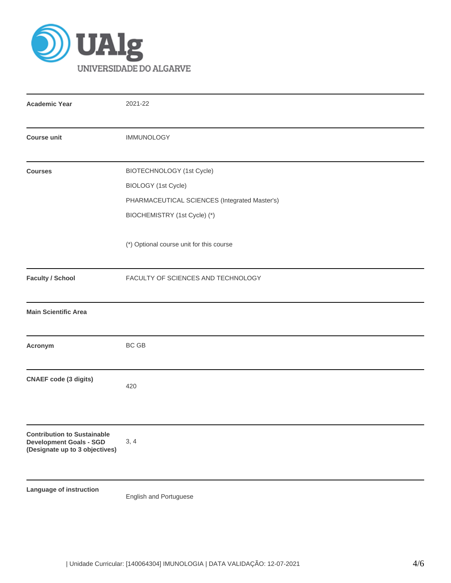

| <b>Academic Year</b>                                                                                   | 2021-22                                                                                                                           |  |  |  |  |
|--------------------------------------------------------------------------------------------------------|-----------------------------------------------------------------------------------------------------------------------------------|--|--|--|--|
| <b>Course unit</b>                                                                                     | <b>IMMUNOLOGY</b>                                                                                                                 |  |  |  |  |
| <b>Courses</b>                                                                                         | BIOTECHNOLOGY (1st Cycle)<br>BIOLOGY (1st Cycle)<br>PHARMACEUTICAL SCIENCES (Integrated Master's)<br>BIOCHEMISTRY (1st Cycle) (*) |  |  |  |  |
|                                                                                                        | (*) Optional course unit for this course                                                                                          |  |  |  |  |
| <b>Faculty / School</b>                                                                                | FACULTY OF SCIENCES AND TECHNOLOGY                                                                                                |  |  |  |  |
| <b>Main Scientific Area</b>                                                                            |                                                                                                                                   |  |  |  |  |
| Acronym                                                                                                | BC GB                                                                                                                             |  |  |  |  |
| <b>CNAEF</b> code (3 digits)                                                                           | 420                                                                                                                               |  |  |  |  |
| <b>Contribution to Sustainable</b><br><b>Development Goals - SGD</b><br>(Designate up to 3 objectives) | 3, 4                                                                                                                              |  |  |  |  |
| Language of instruction                                                                                | English and Portuguese                                                                                                            |  |  |  |  |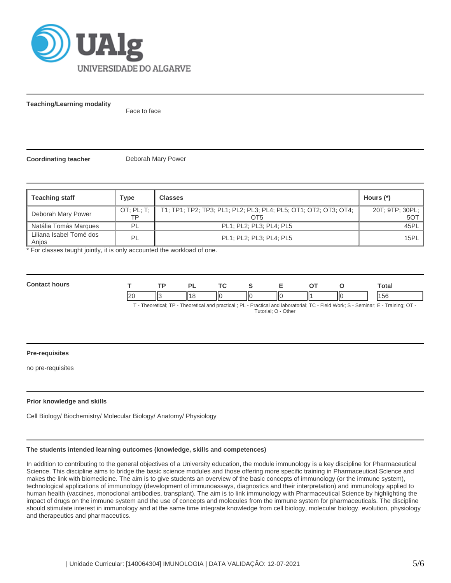

**Teaching/Learning modality**

Face to face

**Coordinating teacher** Deborah Mary Power

| <b>Teaching staff</b>            | Type | <b>Classes</b>                                                                      | Hours (*)                     |
|----------------------------------|------|-------------------------------------------------------------------------------------|-------------------------------|
| Deborah Mary Power               | TP   | OT; PL; T;   T1; TP1; TP2; TP3; PL1; PL2; PL3; PL4; PL5; OT1; OT2; OT3; OT4;<br>OT5 | 20T; 9TP; 30PL;<br><b>50T</b> |
| Natália Tomás Marques            | PL   | PL1; PL2; PL3; PL4; PL5                                                             | 45PL                          |
| Liliana Isabel Tomé dos<br>Anjos | PL   | PL1; PL2; PL3; PL4; PL5                                                             | 15PL                          |

\* For classes taught jointly, it is only accounted the workload of one.

| Com<br><b>LIFC</b> |    | тo | D | $\mathbf{r}$ |               |     |     | otal |
|--------------------|----|----|---|--------------|---------------|-----|-----|------|
|                    | II |    |   | ШC<br>Ш      | $\parallel$ c | 114 | ll( | эť   |

T - Theoretical; TP - Theoretical and practical ; PL - Practical and laboratorial; TC - Field Work; S - Seminar; E - Training; OT -

### Tutorial; O - Other

#### **Pre-requisites**

no pre-requisites

# **Prior knowledge and skills**

Cell Biology/ Biochemistry/ Molecular Biology/ Anatomy/ Physiology

# **The students intended learning outcomes (knowledge, skills and competences)**

In addition to contributing to the general objectives of a University education, the module immunology is a key discipline for Pharmaceutical Science. This discipline aims to bridge the basic science modules and those offering more specific training in Pharmaceutical Science and makes the link with biomedicine. The aim is to give students an overview of the basic concepts of immunology (or the immune system), technological applications of immunology (development of immunoassays, diagnostics and their interpretation) and immunology applied to human health (vaccines, monoclonal antibodies, transplant). The aim is to link immunology with Pharmaceutical Science by highlighting the impact of drugs on the immune system and the use of concepts and molecules from the immune system for pharmaceuticals. The discipline should stimulate interest in immunology and at the same time integrate knowledge from cell biology, molecular biology, evolution, physiology and therapeutics and pharmaceutics.